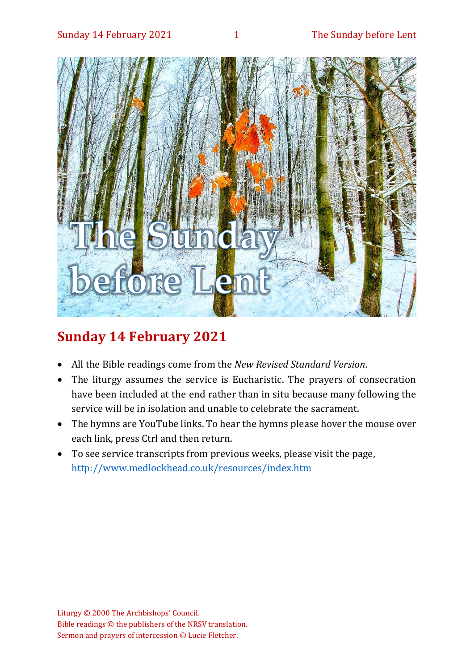

# **Sunday 14 February 2021**

- All the Bible readings come from the *New Revised Standard Version*.
- The liturgy assumes the service is Eucharistic. The prayers of consecration have been included at the end rather than in situ because many following the service will be in isolation and unable to celebrate the sacrament.
- The hymns are YouTube links. To hear the hymns please hover the mouse over each link, press Ctrl and then return.
- To see service transcripts from previous weeks, please visit the page, <http://www.medlockhead.co.uk/resources/index.htm>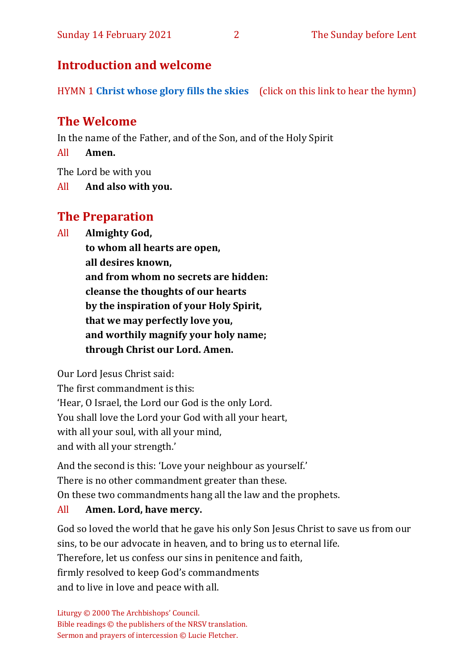# **Introduction and welcome**

HYMN 1 **[Christ whose glory fills the skies](https://www.youtube.com/watch?v=u3hCQlUKXI0)** (click on this link to hear the hymn)

# **The Welcome**

In the name of the Father, and of the Son, and of the Holy Spirit

All **Amen.**

The Lord be with you

All **And also with you.**

# **The Preparation**

All **Almighty God,**

**to whom all hearts are open, all desires known, and from whom no secrets are hidden: cleanse the thoughts of our hearts by the inspiration of your Holy Spirit, that we may perfectly love you, and worthily magnify your holy name; through Christ our Lord. Amen.**

Our Lord Jesus Christ said:

The first commandment is this: 'Hear, O Israel, the Lord our God is the only Lord. You shall love the Lord your God with all your heart, with all your soul, with all your mind, and with all your strength.'

And the second is this: 'Love your neighbour as yourself.' There is no other commandment greater than these. On these two commandments hang all the law and the prophets.

#### All **Amen. Lord, have mercy.**

God so loved the world that he gave his only Son Jesus Christ to save us from our sins, to be our advocate in heaven, and to bring us to eternal life. Therefore, let us confess our sins in penitence and faith, firmly resolved to keep God's commandments and to live in love and peace with all.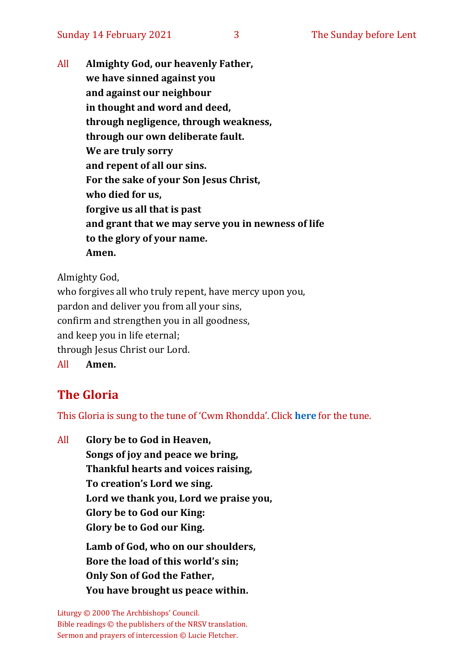All **Almighty God, our heavenly Father, we have sinned against you and against our neighbour in thought and word and deed, through negligence, through weakness, through our own deliberate fault. We are truly sorry and repent of all our sins. For the sake of your Son Jesus Christ, who died for us, forgive us all that is past and grant that we may serve you in newness of life to the glory of your name. Amen.**

Almighty God,

who forgives all who truly repent, have mercy upon you, pardon and deliver you from all your sins, confirm and strengthen you in all goodness, and keep you in life eternal; through Jesus Christ our Lord. All **Amen.**

# **The Gloria**

This Gloria is sung to the tune of 'Cwm Rhondda'. Click **[here](about:blank)** for the tune.

All **Glory be to God in Heaven, Songs of joy and peace we bring, Thankful hearts and voices raising, To creation's Lord we sing. Lord we thank you, Lord we praise you, Glory be to God our King: Glory be to God our King. Lamb of God, who on our shoulders, Bore the load of this world's sin; Only Son of God the Father, You have brought us peace within.**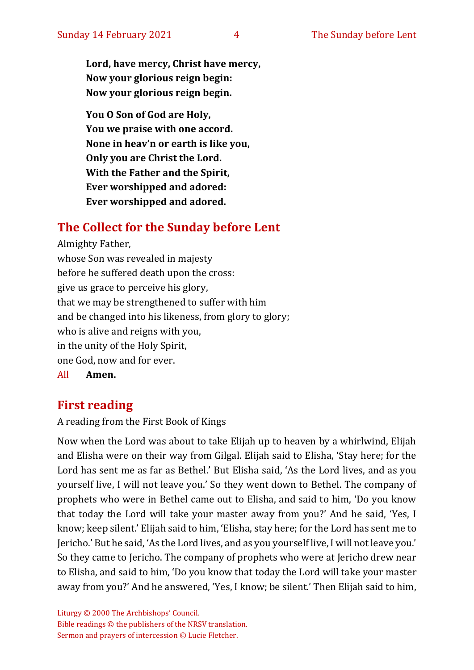**Lord, have mercy, Christ have mercy, Now your glorious reign begin: Now your glorious reign begin.**

**You O Son of God are Holy, You we praise with one accord. None in heav'n or earth is like you, Only you are Christ the Lord. With the Father and the Spirit, Ever worshipped and adored: Ever worshipped and adored.**

## **The Collect for the Sunday before Lent**

Almighty Father, whose Son was revealed in majesty before he suffered death upon the cross: give us grace to perceive his glory, that we may be strengthened to suffer with him and be changed into his likeness, from glory to glory; who is alive and reigns with you, in the unity of the Holy Spirit, one God, now and for ever. All **Amen.**

### **First reading**

A reading from the First Book of Kings

Now when the Lord was about to take Elijah up to heaven by a whirlwind, Elijah and Elisha were on their way from Gilgal. Elijah said to Elisha, 'Stay here; for the Lord has sent me as far as Bethel.' But Elisha said, 'As the Lord lives, and as you yourself live, I will not leave you.' So they went down to Bethel. The company of prophets who were in Bethel came out to Elisha, and said to him, 'Do you know that today the Lord will take your master away from you?' And he said, 'Yes, I know; keep silent.' Elijah said to him, 'Elisha, stay here; for the Lord has sent me to Jericho.' But he said, 'As the Lord lives, and as you yourself live, I will not leave you.' So they came to Jericho. The company of prophets who were at Jericho drew near to Elisha, and said to him, 'Do you know that today the Lord will take your master away from you?' And he answered, 'Yes, I know; be silent.' Then Elijah said to him,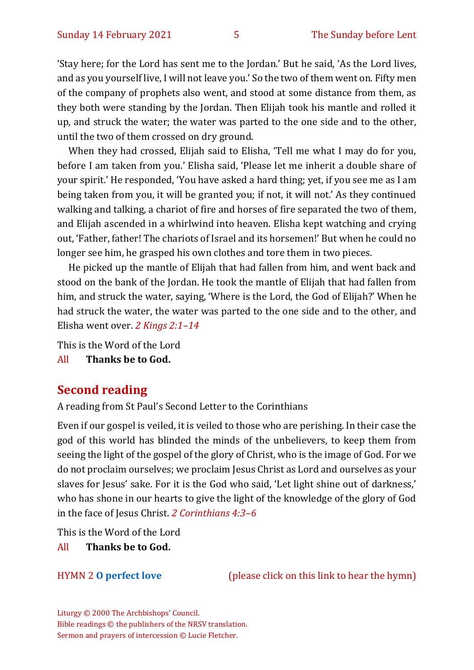'Stay here; for the Lord has sent me to the Jordan.' But he said, 'As the Lord lives, and as you yourself live, I will not leave you.' So the two of them went on. Fifty men of the company of prophets also went, and stood at some distance from them, as they both were standing by the Jordan. Then Elijah took his mantle and rolled it up, and struck the water; the water was parted to the one side and to the other, until the two of them crossed on dry ground.

When they had crossed, Elijah said to Elisha, 'Tell me what I may do for you, before I am taken from you.' Elisha said, 'Please let me inherit a double share of your spirit.' He responded, 'You have asked a hard thing; yet, if you see me as I am being taken from you, it will be granted you; if not, it will not.' As they continued walking and talking, a chariot of fire and horses of fire separated the two of them, and Elijah ascended in a whirlwind into heaven. Elisha kept watching and crying out, 'Father, father! The chariots of Israel and its horsemen!' But when he could no longer see him, he grasped his own clothes and tore them in two pieces.

He picked up the mantle of Elijah that had fallen from him, and went back and stood on the bank of the Jordan. He took the mantle of Elijah that had fallen from him, and struck the water, saying, 'Where is the Lord, the God of Elijah?' When he had struck the water, the water was parted to the one side and to the other, and Elisha went over. *2 Kings 2:1–14*

This is the Word of the Lord

All **Thanks be to God.**

### **Second reading**

A reading from St Paul's Second Letter to the Corinthians

Even if our gospel is veiled, it is veiled to those who are perishing. In their case the god of this world has blinded the minds of the unbelievers, to keep them from seeing the light of the gospel of the glory of Christ, who is the image of God. For we do not proclaim ourselves; we proclaim Jesus Christ as Lord and ourselves as your slaves for Jesus' sake. For it is the God who said, 'Let light shine out of darkness,' who has shone in our hearts to give the light of the knowledge of the glory of God in the face of Jesus Christ. *2 Corinthians 4:3–6*

This is the Word of the Lord

All **Thanks be to God.**

HYMN 2 **[O perfect love](https://www.youtube.com/watch?v=Bb_B2-PSwEk)** (please click on this link to hear the hymn)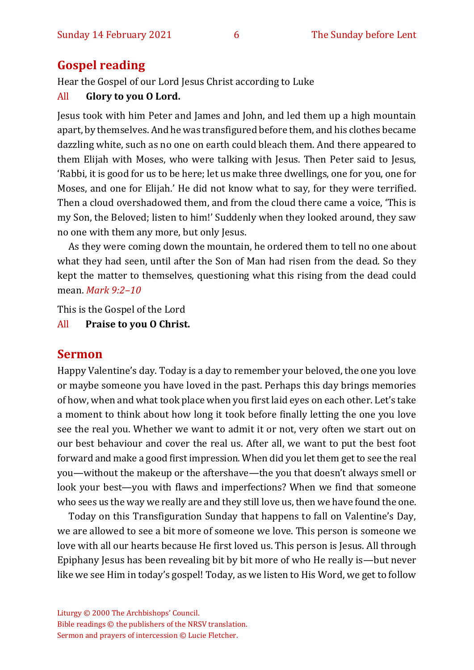### **Gospel reading**

Hear the Gospel of our Lord Jesus Christ according to Luke

#### All **Glory to you O Lord.**

Jesus took with him Peter and James and John, and led them up a high mountain apart, by themselves. And he was transfigured before them, and his clothes became dazzling white, such as no one on earth could bleach them. And there appeared to them Elijah with Moses, who were talking with Jesus. Then Peter said to Jesus, 'Rabbi, it is good for us to be here; let us make three dwellings, one for you, one for Moses, and one for Elijah.' He did not know what to say, for they were terrified. Then a cloud overshadowed them, and from the cloud there came a voice, 'This is my Son, the Beloved; listen to him!' Suddenly when they looked around, they saw no one with them any more, but only Jesus.

As they were coming down the mountain, he ordered them to tell no one about what they had seen, until after the Son of Man had risen from the dead. So they kept the matter to themselves, questioning what this rising from the dead could mean. *Mark 9:2–10*

This is the Gospel of the Lord

All **Praise to you O Christ.** 

#### **Sermon**

Happy Valentine's day. Today is a day to remember your beloved, the one you love or maybe someone you have loved in the past. Perhaps this day brings memories of how, when and what took place when you first laid eyes on each other. Let's take a moment to think about how long it took before finally letting the one you love see the real you. Whether we want to admit it or not, very often we start out on our best behaviour and cover the real us. After all, we want to put the best foot forward and make a good first impression. When did you let them get to see the real you—without the makeup or the aftershave—the you that doesn't always smell or look your best—you with flaws and imperfections? When we find that someone who sees us the way we really are and they still love us, then we have found the one.

Today on this Transfiguration Sunday that happens to fall on Valentine's Day, we are allowed to see a bit more of someone we love. This person is someone we love with all our hearts because He first loved us. This person is Jesus. All through Epiphany Jesus has been revealing bit by bit more of who He really is—but never like we see Him in today's gospel! Today, as we listen to His Word, we get to follow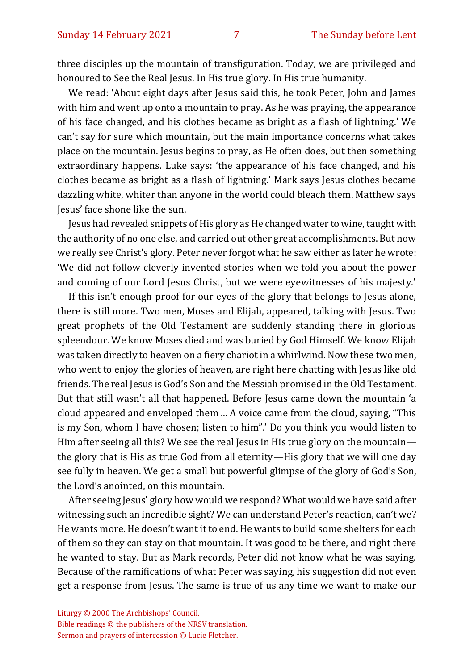three disciples up the mountain of transfiguration. Today, we are privileged and honoured to See the Real Jesus. In His true glory. In His true humanity.

We read: 'About eight days after Jesus said this, he took Peter, John and James with him and went up onto a mountain to pray. As he was praying, the appearance of his face changed, and his clothes became as bright as a flash of lightning.' We can't say for sure which mountain, but the main importance concerns what takes place on the mountain. Jesus begins to pray, as He often does, but then something extraordinary happens. Luke says: 'the appearance of his face changed, and his clothes became as bright as a flash of lightning.' Mark says Jesus clothes became dazzling white, whiter than anyone in the world could bleach them. Matthew says Jesus' face shone like the sun.

Jesus had revealed snippets of His glory as He changed water to wine, taught with the authority of no one else, and carried out other great accomplishments. But now we really see Christ's glory. Peter never forgot what he saw either as later he wrote: 'We did not follow cleverly invented stories when we told you about the power and coming of our Lord Jesus Christ, but we were eyewitnesses of his majesty.'

If this isn't enough proof for our eyes of the glory that belongs to Jesus alone, there is still more. Two men, Moses and Elijah, appeared, talking with Jesus. Two great prophets of the Old Testament are suddenly standing there in glorious spleendour. We know Moses died and was buried by God Himself. We know Elijah was taken directly to heaven on a fiery chariot in a whirlwind. Now these two men, who went to enjoy the glories of heaven, are right here chatting with Jesus like old friends. The real Jesus is God's Son and the Messiah promised in the Old Testament. But that still wasn't all that happened. Before Jesus came down the mountain 'a cloud appeared and enveloped them ... A voice came from the cloud, saying, "This is my Son, whom I have chosen; listen to him".' Do you think you would listen to Him after seeing all this? We see the real Jesus in His true glory on the mountain the glory that is His as true God from all eternity—His glory that we will one day see fully in heaven. We get a small but powerful glimpse of the glory of God's Son, the Lord's anointed, on this mountain.

After seeing Jesus' glory how would we respond? What would we have said after witnessing such an incredible sight? We can understand Peter's reaction, can't we? He wants more. He doesn't want it to end. He wants to build some shelters for each of them so they can stay on that mountain. It was good to be there, and right there he wanted to stay. But as Mark records, Peter did not know what he was saying. Because of the ramifications of what Peter was saying, his suggestion did not even get a response from Jesus. The same is true of us any time we want to make our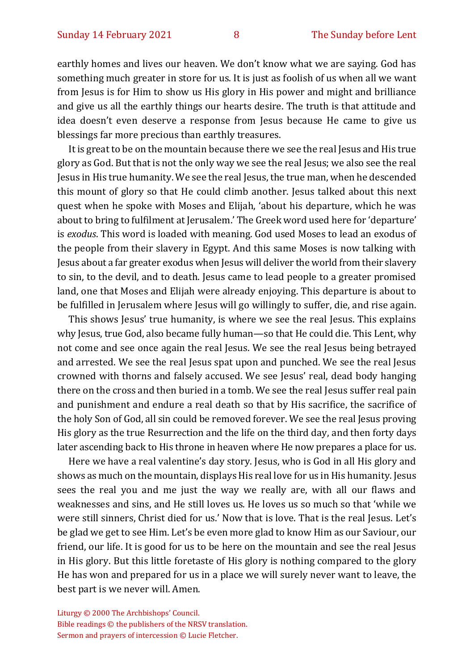earthly homes and lives our heaven. We don't know what we are saying. God has something much greater in store for us. It is just as foolish of us when all we want from Jesus is for Him to show us His glory in His power and might and brilliance and give us all the earthly things our hearts desire. The truth is that attitude and idea doesn't even deserve a response from Jesus because He came to give us blessings far more precious than earthly treasures.

It is great to be on the mountain because there we see the real Jesus and His true glory as God. But that is not the only way we see the real Jesus; we also see the real Jesus in His true humanity. We see the real Jesus, the true man, when he descended this mount of glory so that He could climb another. Jesus talked about this next quest when he spoke with Moses and Elijah, 'about his departure, which he was about to bring to fulfilment at Jerusalem.' The Greek word used here for 'departure' is *exodus*. This word is loaded with meaning. God used Moses to lead an exodus of the people from their slavery in Egypt. And this same Moses is now talking with Jesus about a far greater exodus when Jesus will deliver the world from their slavery to sin, to the devil, and to death. Jesus came to lead people to a greater promised land, one that Moses and Elijah were already enjoying. This departure is about to be fulfilled in Jerusalem where Jesus will go willingly to suffer, die, and rise again.

This shows Jesus' true humanity, is where we see the real Jesus. This explains why Jesus, true God, also became fully human—so that He could die. This Lent, why not come and see once again the real Jesus. We see the real Jesus being betrayed and arrested. We see the real Jesus spat upon and punched. We see the real Jesus crowned with thorns and falsely accused. We see Jesus' real, dead body hanging there on the cross and then buried in a tomb. We see the real Jesus suffer real pain and punishment and endure a real death so that by His sacrifice, the sacrifice of the holy Son of God, all sin could be removed forever. We see the real Jesus proving His glory as the true Resurrection and the life on the third day, and then forty days later ascending back to His throne in heaven where He now prepares a place for us.

Here we have a real valentine's day story. Jesus, who is God in all His glory and shows as much on the mountain, displays His real love for us in His humanity. Jesus sees the real you and me just the way we really are, with all our flaws and weaknesses and sins, and He still loves us. He loves us so much so that 'while we were still sinners, Christ died for us.' Now that is love. That is the real Jesus. Let's be glad we get to see Him. Let's be even more glad to know Him as our Saviour, our friend, our life. It is good for us to be here on the mountain and see the real Jesus in His glory. But this little foretaste of His glory is nothing compared to the glory He has won and prepared for us in a place we will surely never want to leave, the best part is we never will. Amen.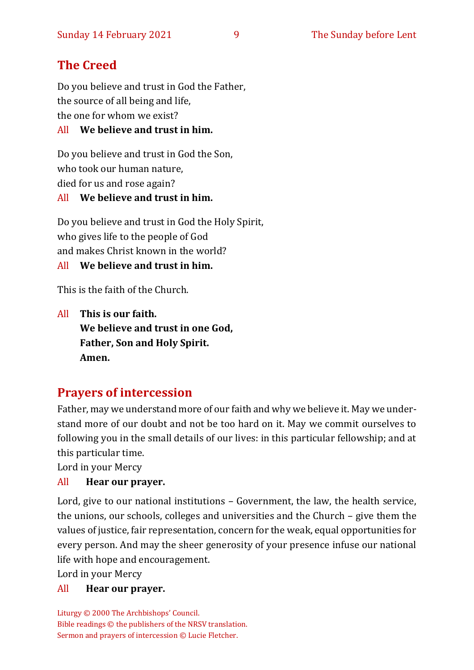# **The Creed**

Do you believe and trust in God the Father, the source of all being and life, the one for whom we exist?

#### All **We believe and trust in him.**

Do you believe and trust in God the Son, who took our human nature, died for us and rose again? All **We believe and trust in him.**

Do you believe and trust in God the Holy Spirit, who gives life to the people of God and makes Christ known in the world? All **We believe and trust in him.**

This is the faith of the Church.

All **This is our faith. We believe and trust in one God, Father, Son and Holy Spirit. Amen.**

# **Prayers of intercession**

Father, may we understand more of our faith and why we believe it. May we understand more of our doubt and not be too hard on it. May we commit ourselves to following you in the small details of our lives: in this particular fellowship; and at this particular time.

Lord in your Mercy

### All **Hear our prayer.**

Lord, give to our national institutions – Government, the law, the health service, the unions, our schools, colleges and universities and the Church – give them the values of justice, fair representation, concern for the weak, equal opportunities for every person. And may the sheer generosity of your presence infuse our national life with hope and encouragement.

Lord in your Mercy

All **Hear our prayer.**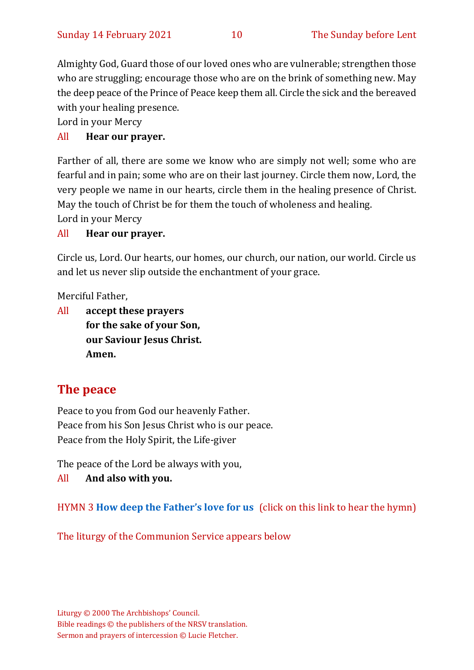Almighty God, Guard those of our loved ones who are vulnerable; strengthen those who are struggling; encourage those who are on the brink of something new. May the deep peace of the Prince of Peace keep them all. Circle the sick and the bereaved with your healing presence.

Lord in your Mercy

### All **Hear our prayer.**

Farther of all, there are some we know who are simply not well; some who are fearful and in pain; some who are on their last journey. Circle them now, Lord, the very people we name in our hearts, circle them in the healing presence of Christ. May the touch of Christ be for them the touch of wholeness and healing.

Lord in your Mercy

#### All **Hear our prayer.**

Circle us, Lord. Our hearts, our homes, our church, our nation, our world. Circle us and let us never slip outside the enchantment of your grace.

Merciful Father,

All **accept these prayers for the sake of your Son, our Saviour Jesus Christ. Amen.**

# **The peace**

Peace to you from God our heavenly Father. Peace from his Son Jesus Christ who is our peace. Peace from the Holy Spirit, the Life-giver

The peace of the Lord be always with you,

All **And also with you.**

HYMN 3 **[How deep the Father's love for us](https://www.youtube.com/watch?v=jD9-omLKwWI)** (click on this link to hear the hymn)

The liturgy of the Communion Service appears below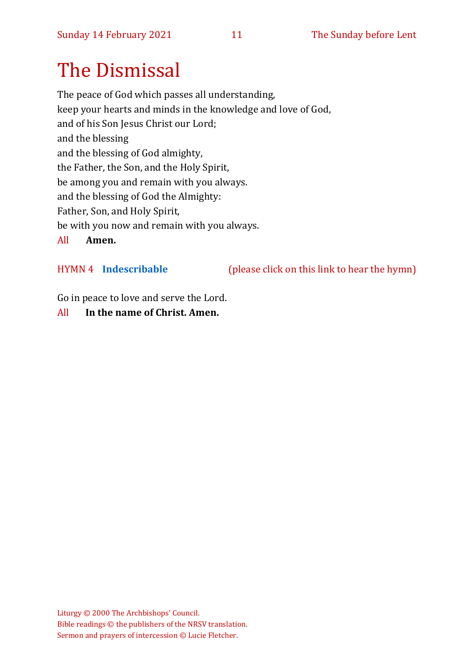# The Dismissal

The peace of God which passes all understanding, keep your hearts and minds in the knowledge and love of God, and of his Son Jesus Christ our Lord; and the blessing and the blessing of God almighty, the Father, the Son, and the Holy Spirit, be among you and remain with you always. and the blessing of God the Almighty: Father, Son, and Holy Spirit, be with you now and remain with you always. All **Amen.**

HYMN 4 **[Indescribable](https://www.youtube.com/watch?v=KsTEK2iBaPs)** (please click on this link to hear the hymn)

Go in peace to love and serve the Lord.

All **In the name of Christ. Amen.**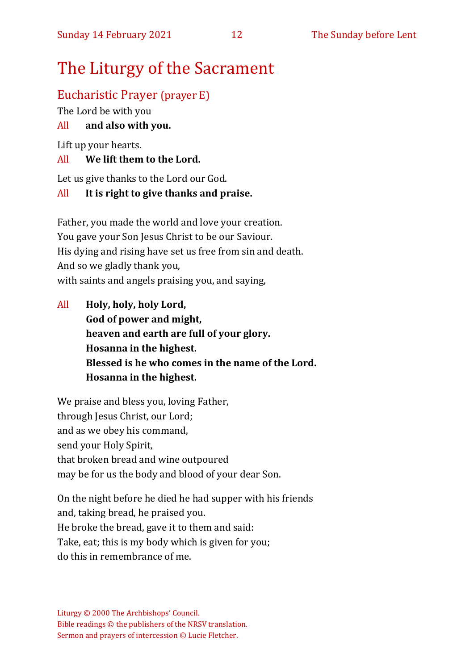# The Liturgy of the Sacrament

# Eucharistic Prayer (prayer E)

The Lord be with you

### All **and also with you.**

Lift up your hearts.

#### All **We lift them to the Lord.**

Let us give thanks to the Lord our God.

#### All **It is right to give thanks and praise.**

Father, you made the world and love your creation. You gave your Son Jesus Christ to be our Saviour. His dying and rising have set us free from sin and death. And so we gladly thank you, with saints and angels praising you, and saying,

All **Holy, holy, holy Lord, God of power and might, heaven and earth are full of your glory. Hosanna in the highest. Blessed is he who comes in the name of the Lord. Hosanna in the highest.**

We praise and bless you, loving Father, through Jesus Christ, our Lord; and as we obey his command, send your Holy Spirit, that broken bread and wine outpoured may be for us the body and blood of your dear Son.

On the night before he died he had supper with his friends and, taking bread, he praised you. He broke the bread, gave it to them and said: Take, eat; this is my body which is given for you; do this in remembrance of me.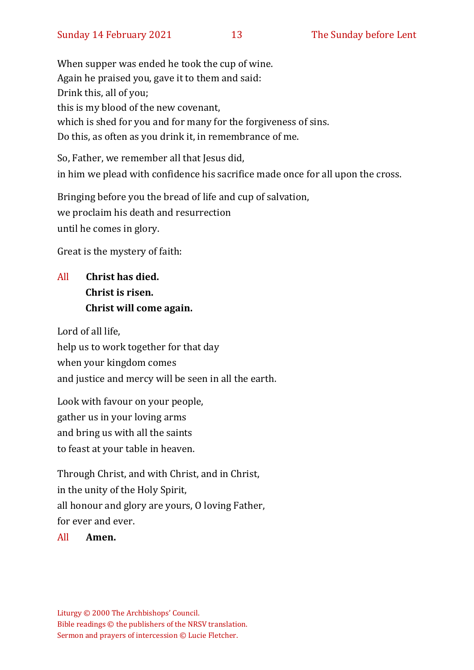When supper was ended he took the cup of wine. Again he praised you, gave it to them and said: Drink this, all of you; this is my blood of the new covenant, which is shed for you and for many for the forgiveness of sins. Do this, as often as you drink it, in remembrance of me.

So, Father, we remember all that Jesus did, in him we plead with confidence his sacrifice made once for all upon the cross.

Bringing before you the bread of life and cup of salvation, we proclaim his death and resurrection until he comes in glory.

Great is the mystery of faith:

# All **Christ has died. Christ is risen. Christ will come again.**

Lord of all life, help us to work together for that day when your kingdom comes and justice and mercy will be seen in all the earth.

Look with favour on your people, gather us in your loving arms and bring us with all the saints to feast at your table in heaven.

Through Christ, and with Christ, and in Christ, in the unity of the Holy Spirit, all honour and glory are yours, O loving Father, for ever and ever.

All **Amen.**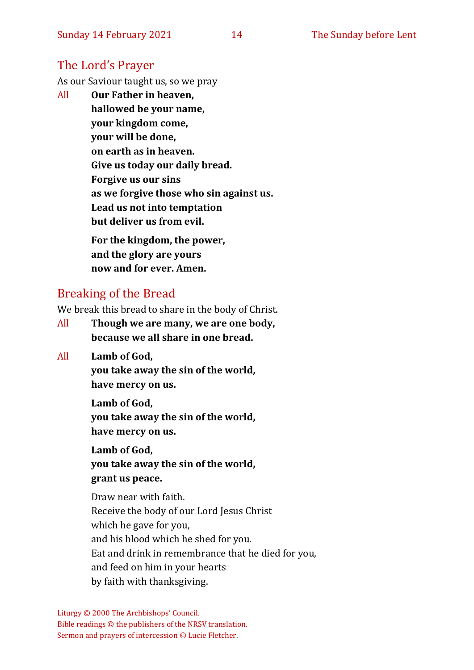# The Lord's Prayer

As our Saviour taught us, so we pray

All **Our Father in heaven, hallowed be your name, your kingdom come, your will be done, on earth as in heaven. Give us today our daily bread. Forgive us our sins as we forgive those who sin against us. Lead us not into temptation but deliver us from evil. For the kingdom, the power,** 

**and the glory are yours now and for ever. Amen.**

## Breaking of the Bread

We break this bread to share in the body of Christ.

- All **Though we are many, we are one body, because we all share in one bread.**
- All **Lamb of God,**

**you take away the sin of the world, have mercy on us.**

**Lamb of God,** 

**you take away the sin of the world, have mercy on us.**

**Lamb of God,** 

**you take away the sin of the world, grant us peace.**

Draw near with faith. Receive the body of our Lord Jesus Christ which he gave for you, and his blood which he shed for you. Eat and drink in remembrance that he died for you, and feed on him in your hearts by faith with thanksgiving.